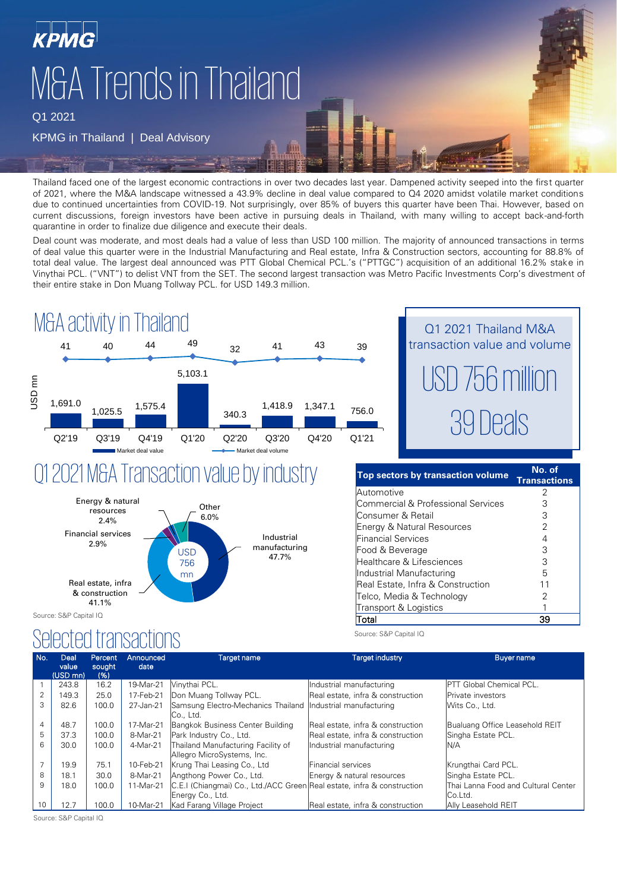

Q1 2021

#### KPMG in Thailand | Deal Advisory

Thailand faced one of the largest economic contractions in over two decades last year. Dampened activity seeped into the first quarter of 2021, where the M&A landscape witnessed a 43.9% decline in deal value compared to Q4 2020 amidst volatile market conditions due to continued uncertainties from COVID-19. Not surprisingly, over 85% of buyers this quarter have been Thai. However, based on current discussions, foreign investors have been active in pursuing deals in Thailand, with many willing to accept back-and-forth quarantine in order to finalize due diligence and execute their deals.

**MHI** 

Deal count was moderate, and most deals had a value of less than USD 100 million. The majority of announced transactions in terms of deal value this quarter were in the Industrial Manufacturing and Real estate, Infra & Construction sectors, accounting for 88.8% of total deal value. The largest deal announced was PTT Global Chemical PCL.'s ("PTTGC") acquisition of an additional 16.2% stake in Vinythai PCL. ("VNT") to delist VNT from the SET. The second largest transaction was Metro Pacific Investments Corp's divestment of their entire stake in Don Muang Tollway PCL. for USD 149.3 million.



### Q1 2021 M&A Transaction value by industry



Source: S&P Capital IQ

### Selected transactions



| Top sectors by transaction volume  | No. of<br><b>Transactions</b> |
|------------------------------------|-------------------------------|
| Automotive                         |                               |
| Commercial & Professional Services |                               |
| Consumer & Retail                  | З                             |
| Energy & Natural Resources         |                               |
| <b>Financial Services</b>          |                               |
| Food & Beverage                    | З                             |
| Healthcare & Lifesciences          | З                             |
| Industrial Manufacturing           | Б                             |
| Real Estate, Infra & Construction  | 11                            |
| Telco, Media & Technology          |                               |
| Transport & Logistics              |                               |
| otal                               |                               |

Source: S&P Capital IQ

| No.            | Deal<br>value | Percent<br>sought | Announced<br>date | Target name                                                             | <b>Target industry</b>            | <b>Buyer name</b>                   |
|----------------|---------------|-------------------|-------------------|-------------------------------------------------------------------------|-----------------------------------|-------------------------------------|
|                | (USD mn)      | (96)              |                   |                                                                         |                                   |                                     |
|                | 243.8         | 16.2              | 19-Mar-21         | Vinythai PCL.                                                           | Industrial manufacturing          | <b>PTT</b> Global Chemical PCL.     |
| 2              | 149.3         | 25.0              | 17-Feb-21         | Don Muang Tollway PCL.                                                  | Real estate, infra & construction | Private investors                   |
| 3              | 82.6          | 100.0             | 27-Jan-21         | Samsung Electro-Mechanics Thailand Industrial manufacturing             |                                   | Wits Co., Ltd.                      |
|                |               |                   |                   | Co., Ltd.                                                               |                                   |                                     |
| $\overline{4}$ | 48.7          | 100.0             | 17-Mar-21         | Bangkok Business Center Building                                        | Real estate, infra & construction | Bualuang Office Leasehold REIT      |
| 5              | 37.3          | 100.0             | 8-Mar-21          | Park Industry Co., Ltd.                                                 | Real estate, infra & construction | Singha Estate PCL.                  |
| 6              | 30.0          | 100.0             | 4-Mar-21          | Thailand Manufacturing Facility of                                      | Industrial manufacturing          | IN/A                                |
|                |               |                   |                   | Allegro MicroSystems, Inc.                                              |                                   |                                     |
|                | 19.9          | 75.1              | 10-Feb-21         | Krung Thai Leasing Co., Ltd                                             | Financial services                | Krungthai Card PCL.                 |
| 8              | 18.1          | 30.0              | 8-Mar-21          | Angthong Power Co., Ltd.                                                | Energy & natural resources        | Singha Estate PCL.                  |
| 9              | 18.0          | 100.0             | 11-Mar-21         | C.E.I (Chiangmai) Co., Ltd./ACC Green Real estate, infra & construction |                                   | Thai Lanna Food and Cultural Center |
|                |               |                   |                   | Energy Co., Ltd.                                                        |                                   | Co.Ltd.                             |
| 10             | 12.7          | 100.0             | 10-Mar-21         | Kad Farang Village Project                                              | Real estate, infra & construction | Ally Leasehold REIT                 |

Source: S&P Capital IQ